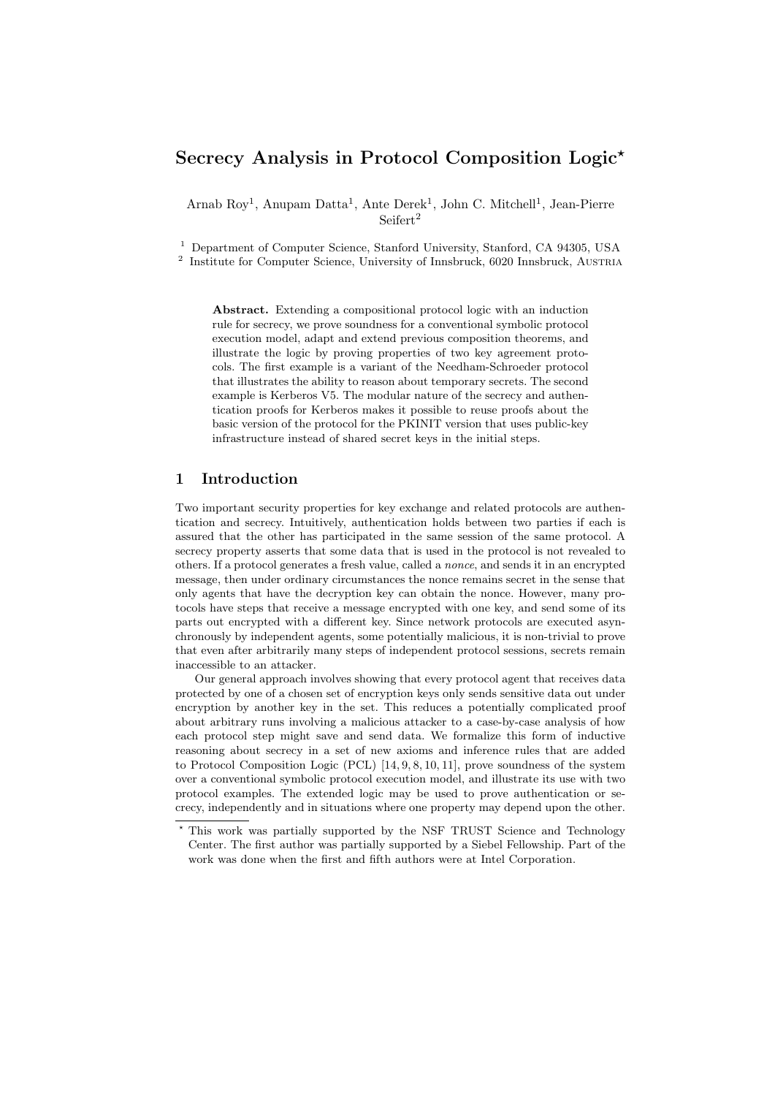# Secrecy Analysis in Protocol Composition Logic<sup>\*</sup>

Arnab Roy<sup>1</sup>, Anupam Datta<sup>1</sup>, Ante Derek<sup>1</sup>, John C. Mitchell<sup>1</sup>, Jean-Pierre Seifert<sup>2</sup>

<sup>1</sup> Department of Computer Science, Stanford University, Stanford, CA 94305, USA <sup>2</sup> Institute for Computer Science, University of Innsbruck, 6020 Innsbruck, AUSTRIA

Abstract. Extending a compositional protocol logic with an induction rule for secrecy, we prove soundness for a conventional symbolic protocol execution model, adapt and extend previous composition theorems, and illustrate the logic by proving properties of two key agreement protocols. The first example is a variant of the Needham-Schroeder protocol that illustrates the ability to reason about temporary secrets. The second example is Kerberos V5. The modular nature of the secrecy and authentication proofs for Kerberos makes it possible to reuse proofs about the basic version of the protocol for the PKINIT version that uses public-key infrastructure instead of shared secret keys in the initial steps.

## 1 Introduction

Two important security properties for key exchange and related protocols are authentication and secrecy. Intuitively, authentication holds between two parties if each is assured that the other has participated in the same session of the same protocol. A secrecy property asserts that some data that is used in the protocol is not revealed to others. If a protocol generates a fresh value, called a nonce, and sends it in an encrypted message, then under ordinary circumstances the nonce remains secret in the sense that only agents that have the decryption key can obtain the nonce. However, many protocols have steps that receive a message encrypted with one key, and send some of its parts out encrypted with a different key. Since network protocols are executed asynchronously by independent agents, some potentially malicious, it is non-trivial to prove that even after arbitrarily many steps of independent protocol sessions, secrets remain inaccessible to an attacker.

Our general approach involves showing that every protocol agent that receives data protected by one of a chosen set of encryption keys only sends sensitive data out under encryption by another key in the set. This reduces a potentially complicated proof about arbitrary runs involving a malicious attacker to a case-by-case analysis of how each protocol step might save and send data. We formalize this form of inductive reasoning about secrecy in a set of new axioms and inference rules that are added to Protocol Composition Logic (PCL) [14, 9, 8, 10, 11], prove soundness of the system over a conventional symbolic protocol execution model, and illustrate its use with two protocol examples. The extended logic may be used to prove authentication or secrecy, independently and in situations where one property may depend upon the other.

<sup>?</sup> This work was partially supported by the NSF TRUST Science and Technology Center. The first author was partially supported by a Siebel Fellowship. Part of the work was done when the first and fifth authors were at Intel Corporation.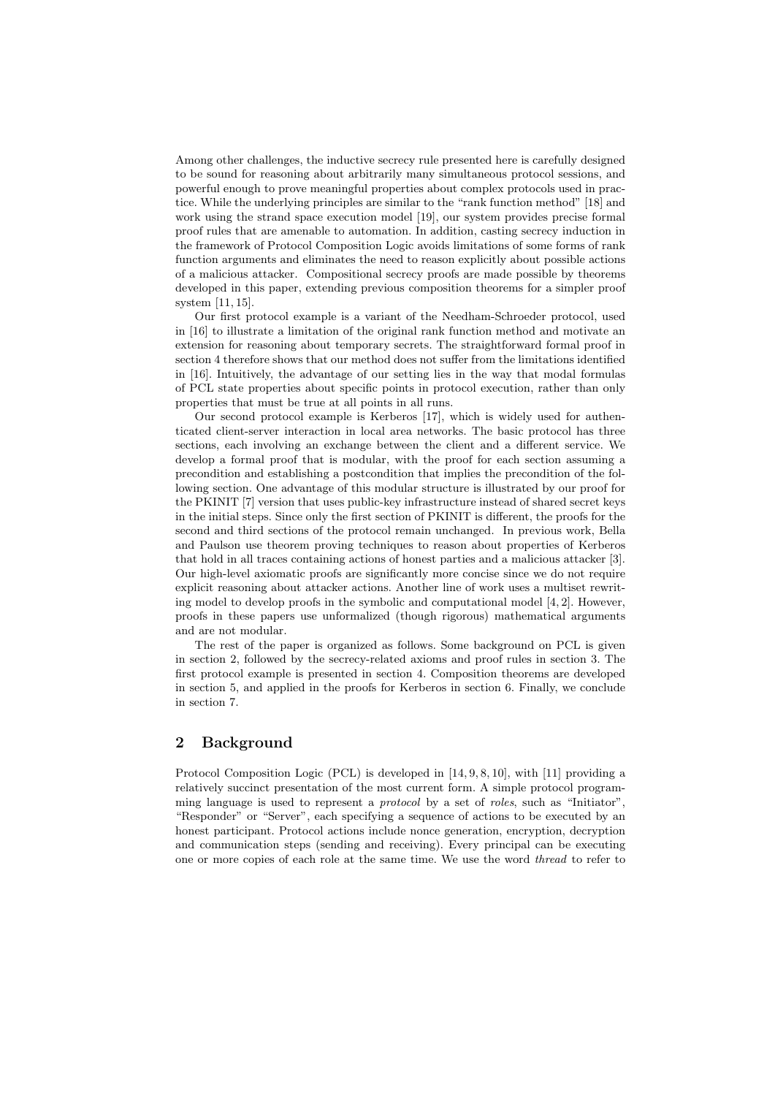Among other challenges, the inductive secrecy rule presented here is carefully designed to be sound for reasoning about arbitrarily many simultaneous protocol sessions, and powerful enough to prove meaningful properties about complex protocols used in practice. While the underlying principles are similar to the "rank function method" [18] and work using the strand space execution model [19], our system provides precise formal proof rules that are amenable to automation. In addition, casting secrecy induction in the framework of Protocol Composition Logic avoids limitations of some forms of rank function arguments and eliminates the need to reason explicitly about possible actions of a malicious attacker. Compositional secrecy proofs are made possible by theorems developed in this paper, extending previous composition theorems for a simpler proof system [11, 15].

Our first protocol example is a variant of the Needham-Schroeder protocol, used in [16] to illustrate a limitation of the original rank function method and motivate an extension for reasoning about temporary secrets. The straightforward formal proof in section 4 therefore shows that our method does not suffer from the limitations identified in [16]. Intuitively, the advantage of our setting lies in the way that modal formulas of PCL state properties about specific points in protocol execution, rather than only properties that must be true at all points in all runs.

Our second protocol example is Kerberos [17], which is widely used for authenticated client-server interaction in local area networks. The basic protocol has three sections, each involving an exchange between the client and a different service. We develop a formal proof that is modular, with the proof for each section assuming a precondition and establishing a postcondition that implies the precondition of the following section. One advantage of this modular structure is illustrated by our proof for the PKINIT [7] version that uses public-key infrastructure instead of shared secret keys in the initial steps. Since only the first section of PKINIT is different, the proofs for the second and third sections of the protocol remain unchanged. In previous work, Bella and Paulson use theorem proving techniques to reason about properties of Kerberos that hold in all traces containing actions of honest parties and a malicious attacker [3]. Our high-level axiomatic proofs are significantly more concise since we do not require explicit reasoning about attacker actions. Another line of work uses a multiset rewriting model to develop proofs in the symbolic and computational model [4, 2]. However, proofs in these papers use unformalized (though rigorous) mathematical arguments and are not modular.

The rest of the paper is organized as follows. Some background on PCL is given in section 2, followed by the secrecy-related axioms and proof rules in section 3. The first protocol example is presented in section 4. Composition theorems are developed in section 5, and applied in the proofs for Kerberos in section 6. Finally, we conclude in section 7.

## 2 Background

Protocol Composition Logic (PCL) is developed in [14, 9, 8, 10], with [11] providing a relatively succinct presentation of the most current form. A simple protocol programming language is used to represent a *protocol* by a set of *roles*, such as "Initiator", "Responder" or "Server", each specifying a sequence of actions to be executed by an honest participant. Protocol actions include nonce generation, encryption, decryption and communication steps (sending and receiving). Every principal can be executing one or more copies of each role at the same time. We use the word thread to refer to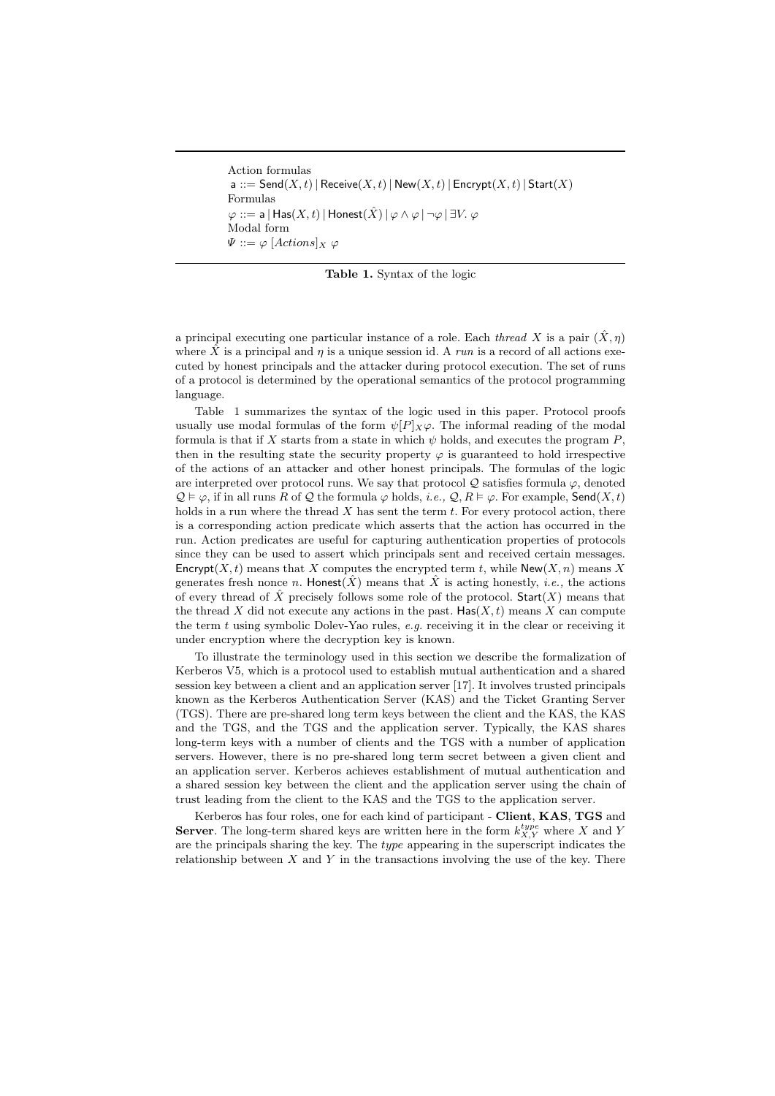```
Action formulas
a ::= Send(X, t) | Receive(X, t) | New(X, t) | Encrypt(X, t) | Start(X)Formulas
\varphi ::= \mathsf{a} \, | \, \mathsf{Has}(X, t) \, | \, \mathsf{Honest}(\hat{X}) \, | \, \varphi \wedge \varphi \, | \, \neg \varphi \, | \, \exists V. \, \varphiModal form
\Psi ::= \varphi \left[ Actions \right]_X \varphi
```
Table 1. Syntax of the logic

a principal executing one particular instance of a role. Each thread X is a pair  $(X, \eta)$ where  $\hat{X}$  is a principal and  $\eta$  is a unique session id. A run is a record of all actions executed by honest principals and the attacker during protocol execution. The set of runs of a protocol is determined by the operational semantics of the protocol programming language.

Table 1 summarizes the syntax of the logic used in this paper. Protocol proofs usually use modal formulas of the form  $\psi[P]_X\varphi$ . The informal reading of the modal formula is that if X starts from a state in which  $\psi$  holds, and executes the program P, then in the resulting state the security property  $\varphi$  is guaranteed to hold irrespective of the actions of an attacker and other honest principals. The formulas of the logic are interpreted over protocol runs. We say that protocol  $\mathcal Q$  satisfies formula  $\varphi$ , denoted  $\mathcal{Q} \models \varphi$ , if in all runs R of  $\mathcal Q$  the formula  $\varphi$  holds, *i.e.*,  $\mathcal Q, R \models \varphi$ . For example, Send $(X, t)$ holds in a run where the thread  $X$  has sent the term  $t$ . For every protocol action, there is a corresponding action predicate which asserts that the action has occurred in the run. Action predicates are useful for capturing authentication properties of protocols since they can be used to assert which principals sent and received certain messages. Encrypt(X, t) means that X computes the encrypted term t, while  $\mathsf{New}(X,n)$  means X generates fresh nonce n. Honest $(\hat{X})$  means that  $\hat{X}$  is acting honestly, *i.e.*, the actions of every thread of X precisely follows some role of the protocol. Start(X) means that the thread X did not execute any actions in the past. Has  $(X, t)$  means X can compute the term  $t$  using symbolic Dolev-Yao rules,  $e.g.$  receiving it in the clear or receiving it under encryption where the decryption key is known.

To illustrate the terminology used in this section we describe the formalization of Kerberos V5, which is a protocol used to establish mutual authentication and a shared session key between a client and an application server [17]. It involves trusted principals known as the Kerberos Authentication Server (KAS) and the Ticket Granting Server (TGS). There are pre-shared long term keys between the client and the KAS, the KAS and the TGS, and the TGS and the application server. Typically, the KAS shares long-term keys with a number of clients and the TGS with a number of application servers. However, there is no pre-shared long term secret between a given client and an application server. Kerberos achieves establishment of mutual authentication and a shared session key between the client and the application server using the chain of trust leading from the client to the KAS and the TGS to the application server.

Kerberos has four roles, one for each kind of participant - Client, KAS, TGS and **Server**. The long-term shared keys are written here in the form  $k_{X,Y}^{type}$  where X and Y are the principals sharing the key. The type appearing in the superscript indicates the relationship between  $X$  and  $Y$  in the transactions involving the use of the key. There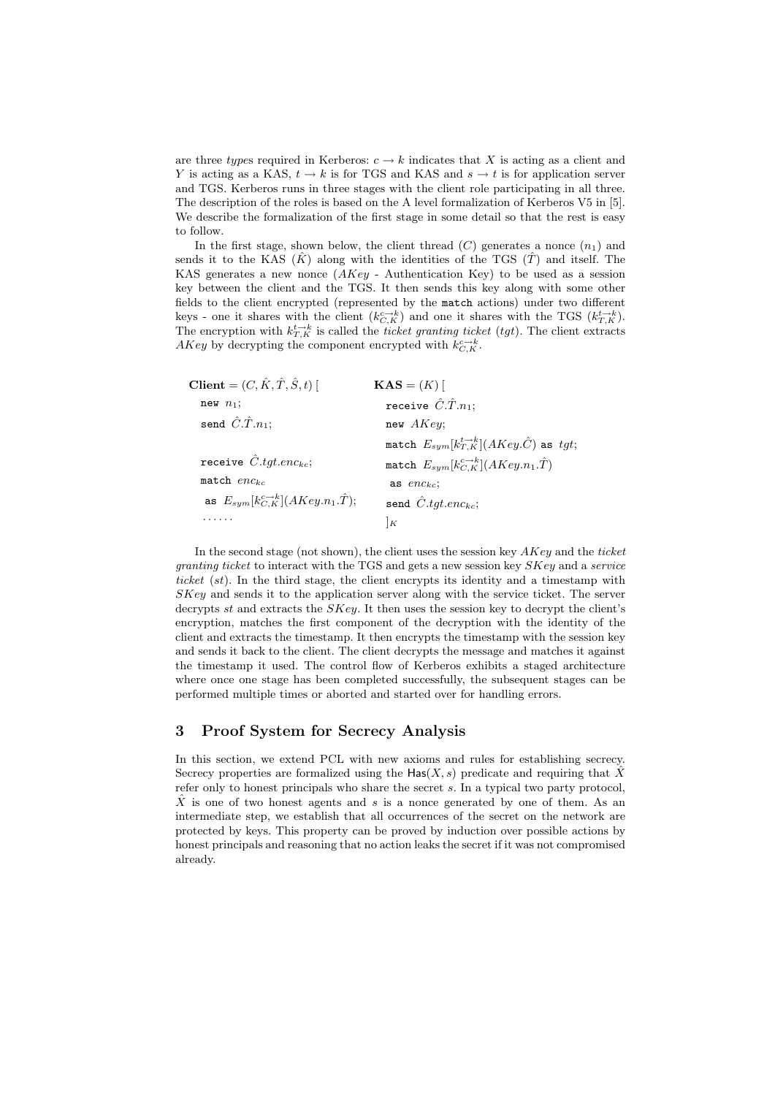are three types required in Kerberos:  $c \rightarrow k$  indicates that X is acting as a client and Y is acting as a KAS,  $t \to k$  is for TGS and KAS and  $s \to t$  is for application server and TGS. Kerberos runs in three stages with the client role participating in all three. The description of the roles is based on the A level formalization of Kerberos V5 in [5]. We describe the formalization of the first stage in some detail so that the rest is easy to follow.

In the first stage, shown below, the client thread  $(C)$  generates a nonce  $(n_1)$  and sends it to the KAS  $(K)$  along with the identities of the TGS  $(T)$  and itself. The KAS generates a new nonce  $(AKey - Authentication Key)$  to be used as a session key between the client and the TGS. It then sends this key along with some other fields to the client encrypted (represented by the match actions) under two different keys - one it shares with the client  $(k_{C,K}^{c\to k})$  and one it shares with the TGS  $(k_{T,K}^{t\to k})$ . The encryption with  $k_{T,K}^{t\to k}$  is called the *ticket granting ticket* (*tgt*). The client extracts AKey by decrypting the component encrypted with  $k_{C,K}^{c\rightarrow k}$ .

| Client = $(C, \hat{K}, \hat{T}, \hat{S}, t)$ [            | $\mathbf{KAS} = (K)$                                            |
|-----------------------------------------------------------|-----------------------------------------------------------------|
| new $n_1$ ;                                               | receive $\hat{C}.\hat{T}.n_1;$                                  |
| send $\hat{C}.\hat{T}.n_1$ ;                              | new $AKev$ :                                                    |
|                                                           | match $E_{sym}[k_{T,K}^{t\rightarrow k}](AKey.\hat{C})$ as tgt; |
| receive $\ddot{C}.tqt. enc_{kc};$                         | match $E_{sym}[k_{C,K}^{c\rightarrow k}](AKey.n_1.\hat{T})$     |
| match $enc_{kc}$                                          | as $enc_{kc}$ ;                                                 |
| as $E_{sym}[k_{C,K}^{c\rightarrow k}](AKey.n_1.\hat{T});$ | send $\ddot{C}.tqt. enc_{kc}$ ;                                 |
|                                                           | K                                                               |

In the second stage (not shown), the client uses the session key  $AKey$  and the ticket *granting ticket* to interact with the TGS and gets a new session key  $SKey$  and a *service* ticket (st). In the third stage, the client encrypts its identity and a timestamp with SKey and sends it to the application server along with the service ticket. The server decrypts st and extracts the  $SKey$ . It then uses the session key to decrypt the client's encryption, matches the first component of the decryption with the identity of the client and extracts the timestamp. It then encrypts the timestamp with the session key and sends it back to the client. The client decrypts the message and matches it against the timestamp it used. The control flow of Kerberos exhibits a staged architecture where once one stage has been completed successfully, the subsequent stages can be performed multiple times or aborted and started over for handling errors.

#### 3 Proof System for Secrecy Analysis

In this section, we extend PCL with new axioms and rules for establishing secrecy. Secrecy properties are formalized using the  $\text{Has}(X, s)$  predicate and requiring that  $\hat{X}$ refer only to honest principals who share the secret s. In a typical two party protocol,  $\hat{X}$  is one of two honest agents and s is a nonce generated by one of them. As an intermediate step, we establish that all occurrences of the secret on the network are protected by keys. This property can be proved by induction over possible actions by honest principals and reasoning that no action leaks the secret if it was not compromised already.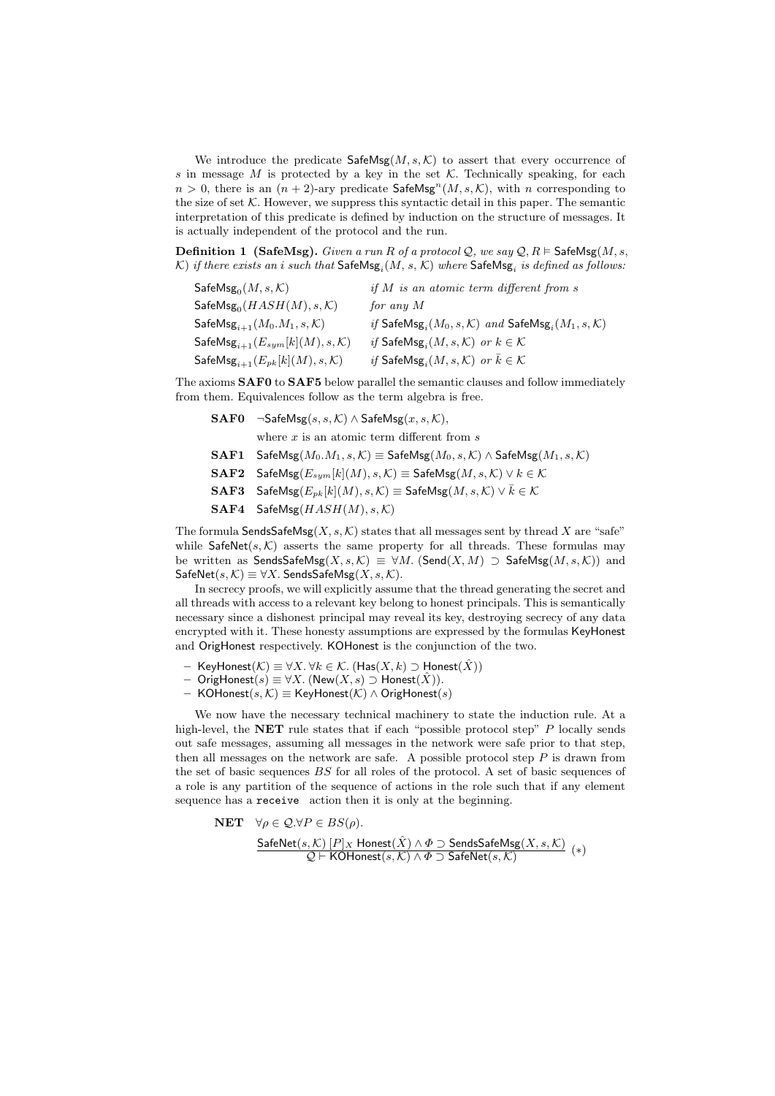We introduce the predicate  $\mathsf{SafeMSg}(M, s, \mathcal{K})$  to assert that every occurrence of s in message M is protected by a key in the set  $K$ . Technically speaking, for each  $n > 0$ , there is an  $(n + 2)$ -ary predicate SafeMsg<sup>n</sup> $(M, s, \mathcal{K})$ , with n corresponding to the size of set  $K$ . However, we suppress this syntactic detail in this paper. The semantic interpretation of this predicate is defined by induction on the structure of messages. It is actually independent of the protocol and the run.

**Definition 1** (SafeMsg). Given a run R of a protocol Q, we say  $Q, R \vDash$  SafeMsg $(M, s, s)$  $\mathcal{K})$  if there exists an  $i$  such that  $\mathsf{SafeMsg}_i(M,s,\mathcal{K})$  where  $\mathsf{SafeMsg}_i$  is defined as follows:

| $\mathsf{SafeMsg}_0(M, s, \mathcal{K})$                 | if $M$ is an atomic term different from $s$                                                             |
|---------------------------------------------------------|---------------------------------------------------------------------------------------------------------|
| $SafeMsg_0(HASH(M), s, \mathcal{K})$                    | for any $M$                                                                                             |
| $\mathsf{SafeMsg}_{i+1}(M_0.M_1, s, \mathcal{K})$       | <i>if</i> SafeMsg <sub>i</sub> $(M_0, s, \mathcal{K})$ and SafeMsg <sub>i</sub> $(M_1, s, \mathcal{K})$ |
| $\mathsf{SafeMsg}_{i+1}(E_{sym}[k](M), s, \mathcal{K})$ | <i>if</i> SafeMsg <sub>i</sub> $(M, s, \mathcal{K})$ or $k \in \mathcal{K}$                             |
| $\mathsf{SafeMsg}_{i+1}(E_{pk}[k](M), s, \mathcal{K})$  | <i>if</i> SafeMsg <sub>i</sub> $(M, s, \mathcal{K})$ or $k \in \mathcal{K}$                             |

The axioms SAF0 to SAF5 below parallel the semantic clauses and follow immediately from them. Equivalences follow as the term algebra is free.

SAF0  $\neg$ SafeMsg(s, s, K) ∧ SafeMsg(x, s, K),

where  $x$  is an atomic term different from  $s$ 

- SAF1 SafeMsg $(M_0, M_1, s, \mathcal{K}) \equiv$  SafeMsg $(M_0, s, \mathcal{K}) \wedge$  SafeMsg $(M_1, s, \mathcal{K})$
- SAF2 Safe $M$ sg $(E_{sym}[k](M), s, \mathcal{K}) \equiv$  Safe $M$ sg $(M, s, \mathcal{K}) \vee k \in \mathcal{K}$
- SAF3 SafeMsg $(E_{pk}[k](M), s, \mathcal{K}) \equiv$  SafeMsg $(M, s, \mathcal{K}) \vee \bar{k} \in \mathcal{K}$
- SAF4 SafeMsg $(HASH(M), s, \mathcal{K})$

The formula SendsSafeMsg( $X, s, \mathcal{K}$ ) states that all messages sent by thread  $X$  are "safe" while  $\mathsf{SafeNet}(s, \mathcal{K})$  asserts the same property for all threads. These formulas may be written as SendsSafeMsg(X, s, K)  $\equiv \forall M$ . (Send(X, M)  $\supset$  SafeMsg(M, s, K)) and SafeNet $(s, \mathcal{K}) \equiv \forall X$ . SendsSafeMsg $(X, s, \mathcal{K})$ .

In secrecy proofs, we will explicitly assume that the thread generating the secret and all threads with access to a relevant key belong to honest principals. This is semantically necessary since a dishonest principal may reveal its key, destroying secrecy of any data encrypted with it. These honesty assumptions are expressed by the formulas KeyHonest and OrigHonest respectively. KOHonest is the conjunction of the two.

- $-$  KeyHonest $(\mathcal{K}) \equiv \forall X. \forall k \in \mathcal{K}$ . (Has $(X, k) \supset$  Honest $(\hat{X})$ )
- OrigHonest(s)  $\equiv \forall X$ . (New(X, s) ⊃ Honest(X̂)).<br>– KOHonest(s K`) = KeyHonest(K`) ∆ OrigHonest(
- KOHonest(s,  $\mathcal{K}$ )  $\equiv$  KeyHonest( $\mathcal{K}$ )  $\wedge$  OrigHonest(s)

We now have the necessary technical machinery to state the induction rule. At a high-level, the **NET** rule states that if each "possible protocol step"  $P$  locally sends out safe messages, assuming all messages in the network were safe prior to that step, then all messages on the network are safe. A possible protocol step  $P$  is drawn from the set of basic sequences BS for all roles of the protocol. A set of basic sequences of a role is any partition of the sequence of actions in the role such that if any element sequence has a receive action then it is only at the beginning.

$$
NET √ρ ∈ Q. ∀P ∈ BS(ρ).
$$
\n
$$
\frac{\mathsf{SafeNet}(s, K) [P]_X \mathsf{Honest}(\hat{X}) ∧ Φ ⊇ \mathsf{SendsSafeMsg}(X, s, K)}{Q \vdash \mathsf{KOHonest}(s, K) ∧ Φ ⊇ \mathsf{SafeNet}(s, K)} (*)
$$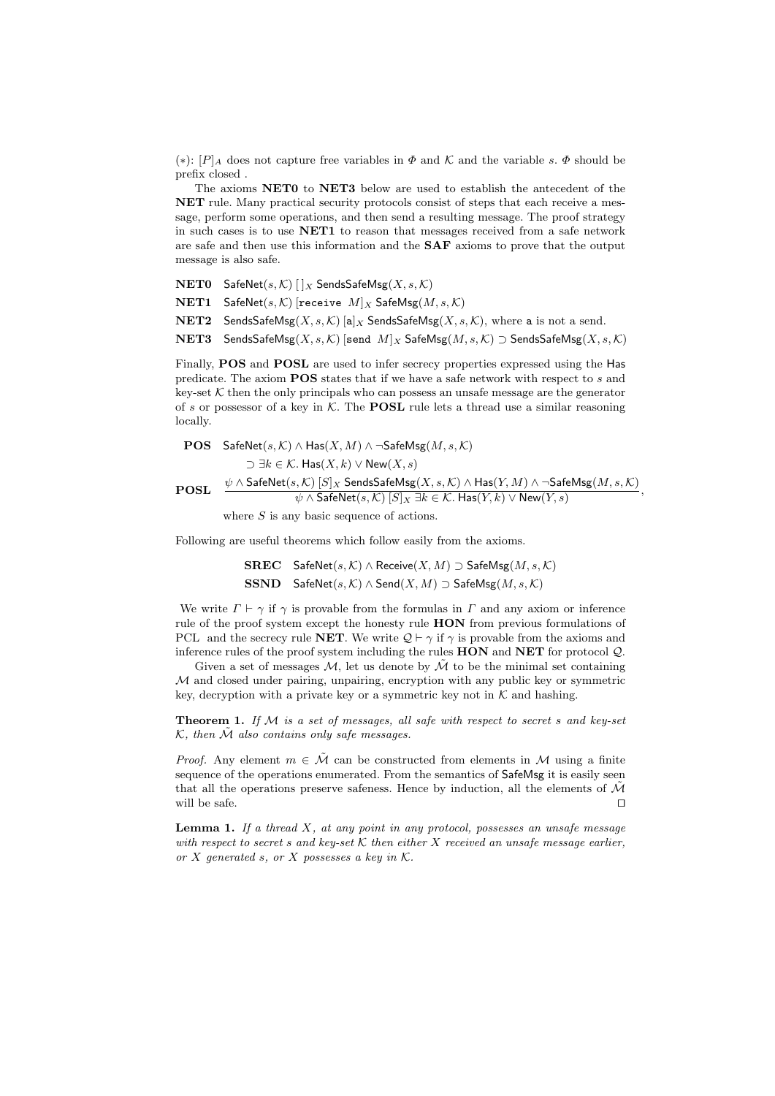(∗): [P]<sup>A</sup> does not capture free variables in Φ and K and the variable s. Φ should be prefix closed .

The axioms NET0 to NET3 below are used to establish the antecedent of the NET rule. Many practical security protocols consist of steps that each receive a message, perform some operations, and then send a resulting message. The proof strategy in such cases is to use NET1 to reason that messages received from a safe network are safe and then use this information and the SAF axioms to prove that the output message is also safe.

**NET0** SafeNet( $s, K$ ) [ ]<sub>X</sub> SendsSafeMsg( $X, s, K$ )

**NET1** SafeNet(s, K) [receive  $M|_X$  SafeMsg(M, s, K)]

**NET2** SendsSafeMsg $(X, s, \mathcal{K})$  [a]<sub>X</sub> SendsSafeMsg $(X, s, \mathcal{K})$ , where a is not a send.

**NET3** SendsSafeMsg(X, s, K) [send  $M|_X$  SafeMsg( $M$ , s, K)  $\supset$  SendsSafeMsg(X, s, K)

Finally, POS and POSL are used to infer secrecy properties expressed using the Has predicate. The axiom POS states that if we have a safe network with respect to s and key-set  $K$  then the only principals who can possess an unsafe message are the generator of s or possessor of a key in  $K$ . The **POSL** rule lets a thread use a similar reasoning locally.

| POS                                                                                          | SafeNet(s, K) ∧ Has(X, M) ∧ ¬SafeMsg(M, s, K)                                                            |
|----------------------------------------------------------------------------------------------|----------------------------------------------------------------------------------------------------------|
| ○ $\exists k \in K$ . Has(X, k) ∨ New(X, s)                                                  |                                                                                                          |
| POSL                                                                                         | $\psi \land \text{SafeNet}(s, K)$ [S] <sub>X</sub> SendsSafeMsg(X, s, K) ∧ Has(Y, M) ∧ ¬SafeMsg(M, s, K) |
| $\psi \land \text{SafeNet}(s, K)$ [S] <sub>X</sub> $\exists k \in K$ . Has(Y, k) ∨ New(Y, s) |                                                                                                          |

,

where  $S$  is any basic sequence of actions.

Following are useful theorems which follow easily from the axioms.

 $SREC$  SafeNet(s, K) ∧ Receive(X, M)  $\supset$  SafeMsg(M, s, K) SSND SafeNet(s,  $K$ )  $\wedge$  Send(X, M)  $\supset$  SafeMsg(M, s, K)

We write  $\Gamma \vdash \gamma$  if  $\gamma$  is provable from the formulas in  $\Gamma$  and any axiom or inference rule of the proof system except the honesty rule HON from previous formulations of PCL and the secrecy rule **NET**. We write  $Q \vdash \gamma$  if  $\gamma$  is provable from the axioms and inference rules of the proof system including the rules  $HON$  and  $NET$  for protocol  $Q$ .

Given a set of messages  $M$ , let us denote by  $\tilde{M}$  to be the minimal set containing  $M$  and closed under pairing, unpairing, encryption with any public key or symmetric key, decryption with a private key or a symmetric key not in  $K$  and hashing.

**Theorem 1.** If  $M$  is a set of messages, all safe with respect to secret s and key-set K, then  $\tilde{\mathcal{M}}$  also contains only safe messages.

*Proof.* Any element  $m \in \mathcal{M}$  can be constructed from elements in M using a finite sequence of the operations enumerated. From the semantics of SafeMsg it is easily seen that all the operations preserve safeness. Hence by induction, all the elements of  $\tilde{\mathcal{M}}$ will be safe.  $\Box$ 

**Lemma 1.** If a thread  $X$ , at any point in any protocol, possesses an unsafe message with respect to secret s and key-set K then either X received an unsafe message earlier, or  $X$  generated s, or  $X$  possesses a key in  $K$ .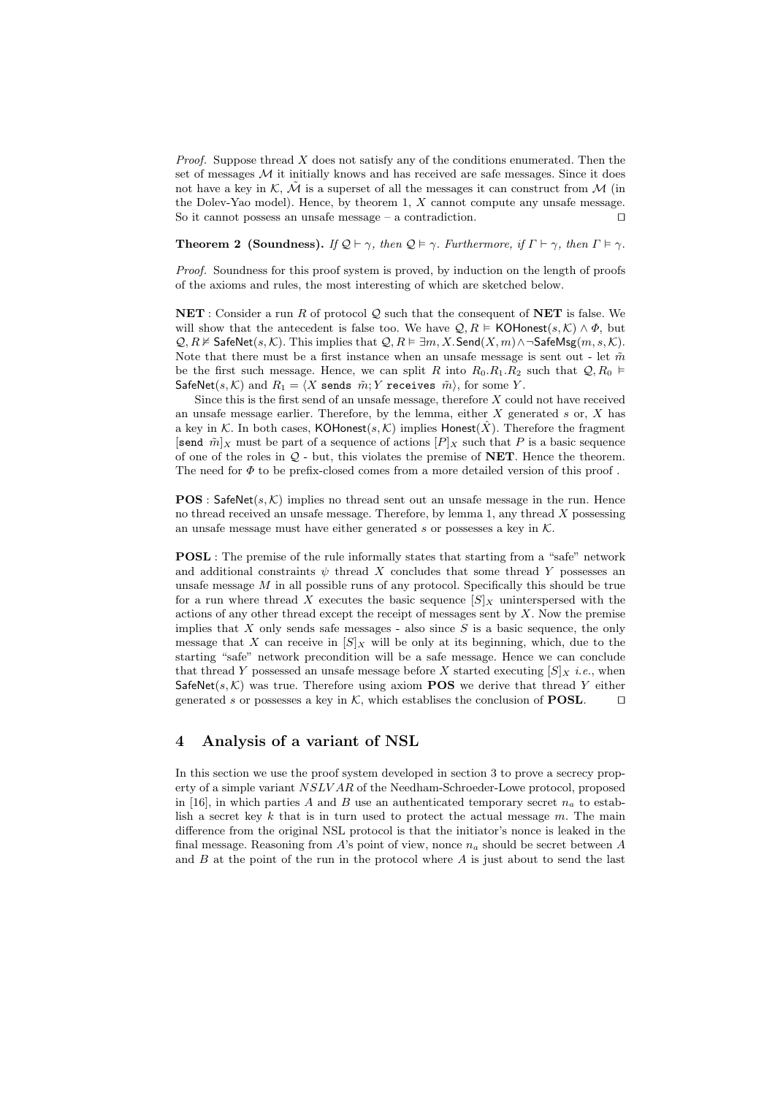*Proof.* Suppose thread  $X$  does not satisfy any of the conditions enumerated. Then the set of messages  $M$  it initially knows and has received are safe messages. Since it does not have a key in K, M is a superset of all the messages it can construct from M (in the Dolev-Yao model). Hence, by theorem  $1, X$  cannot compute any unsafe message. So it cannot possess an unsafe message – a contradiction.  $\hfill\Box$ 

**Theorem 2 (Soundness).** If  $\mathcal{Q} \models \gamma$ , then  $\mathcal{Q} \models \gamma$ . Furthermore, if  $\Gamma \vdash \gamma$ , then  $\Gamma \models \gamma$ .

Proof. Soundness for this proof system is proved, by induction on the length of proofs of the axioms and rules, the most interesting of which are sketched below.

**NET**: Consider a run R of protocol  $Q$  such that the consequent of **NET** is false. We will show that the antecedent is false too. We have  $\mathcal{Q}, R \models \textsf{KOHonest}(s, \mathcal{K}) \land \Phi$ , but  $Q, R \nvDash$  SafeNet $(s, \mathcal{K})$ . This implies that  $Q, R \vDash \exists m, X$ . Send $(X, m) \wedge \neg$ SafeMsg $(m, s, \mathcal{K})$ . Note that there must be a first instance when an unsafe message is sent out - let  $\tilde{m}$ be the first such message. Hence, we can split R into  $R_0.R_1.R_2$  such that  $\mathcal{Q}, R_0 \models$ SafeNet(s, K) and  $R_1 = \langle X \text{ sends } \tilde{m} ; Y \text{ receives } \tilde{m} \rangle$ , for some Y.

Since this is the first send of an unsafe message, therefore  $X$  could not have received an unsafe message earlier. Therefore, by the lemma, either  $X$  generated  $s$  or,  $X$  has a key in K. In both cases, KOHonest(s, K) implies Honest( $\hat{X}$ ). Therefore the fragment [send  $\tilde{m}$ ]<sub>X</sub> must be part of a sequence of actions  $[P]$ <sub>X</sub> such that P is a basic sequence of one of the roles in  $\mathcal{Q}$  - but, this violates the premise of **NET**. Hence the theorem. The need for  $\Phi$  to be prefix-closed comes from a more detailed version of this proof.

**POS**:  $\mathsf{SafeNet}(s, \mathcal{K})$  implies no thread sent out an unsafe message in the run. Hence no thread received an unsafe message. Therefore, by lemma  $1$ , any thread  $X$  possessing an unsafe message must have either generated s or possesses a key in  $K$ .

POSL : The premise of the rule informally states that starting from a "safe" network and additional constraints  $\psi$  thread X concludes that some thread Y possesses an unsafe message  $M$  in all possible runs of any protocol. Specifically this should be true for a run where thread X executes the basic sequence  $[S]_X$  uninterspersed with the actions of any other thread except the receipt of messages sent by  $X$ . Now the premise implies that  $X$  only sends safe messages - also since  $S$  is a basic sequence, the only message that X can receive in  $[S]_X$  will be only at its beginning, which, due to the starting "safe" network precondition will be a safe message. Hence we can conclude that thread Y possessed an unsafe message before X started executing  $[S]_X$  *i.e.*, when SafeNet(s, K) was true. Therefore using axiom **POS** we derive that thread Y either generated s or possesses a key in K, which establises the conclusion of **POSL**.  $\Box$ 

#### 4 Analysis of a variant of NSL

In this section we use the proof system developed in section 3 to prove a secrecy property of a simple variant NSLV AR of the Needham-Schroeder-Lowe protocol, proposed in [16], in which parties A and B use an authenticated temporary secret  $n_a$  to establish a secret key  $k$  that is in turn used to protect the actual message  $m$ . The main difference from the original NSL protocol is that the initiator's nonce is leaked in the final message. Reasoning from A's point of view, nonce  $n_a$  should be secret between A and  $B$  at the point of the run in the protocol where  $A$  is just about to send the last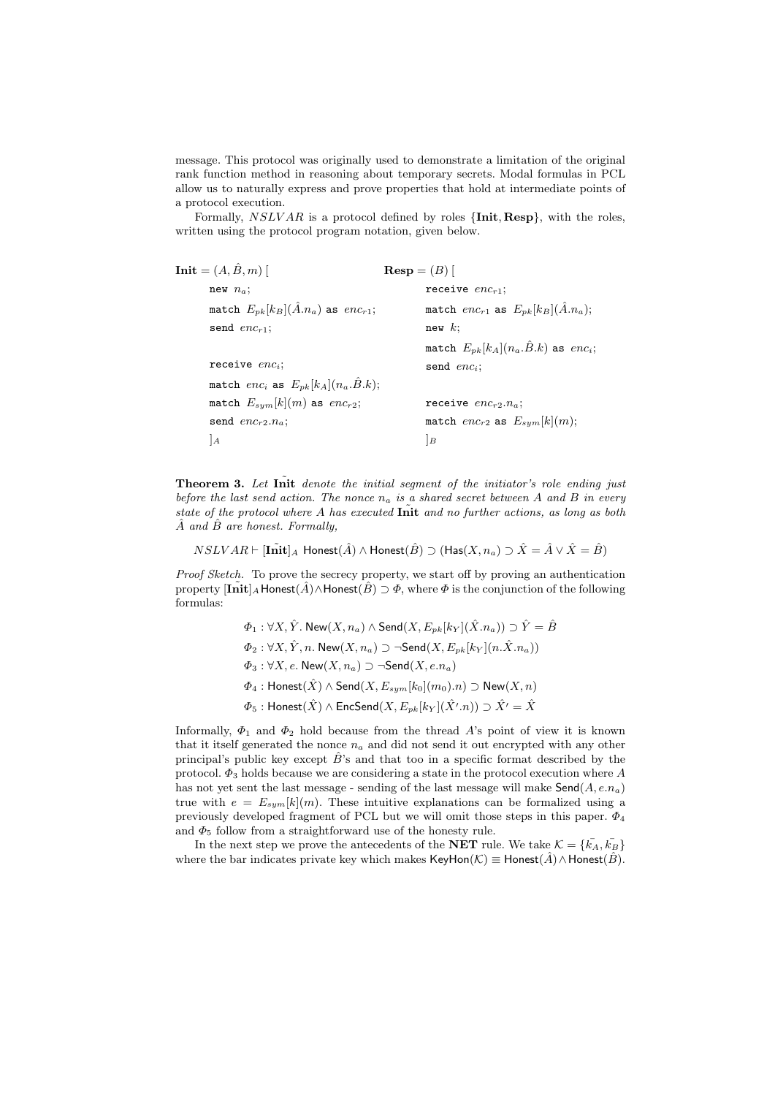message. This protocol was originally used to demonstrate a limitation of the original rank function method in reasoning about temporary secrets. Modal formulas in PCL allow us to naturally express and prove properties that hold at intermediate points of a protocol execution.

Formally,  $NSLVAR$  is a protocol defined by roles {Init,  $\text{Resp}$ }, with the roles, written using the protocol program notation, given below.

| $\mathbf{Init} = (A, \hat{B}, m)$                       | $\text{Resp} = (B)$                                    |
|---------------------------------------------------------|--------------------------------------------------------|
| new $n_a$ ;                                             | receive $enc_{r1}$ ;                                   |
| match $E_{pk}[k_B](\hat{A}.n_a)$ as $enc_{r1}$ ;        | match enc <sub>r1</sub> as $E_{pk}[k_B](\hat{A}.n_a);$ |
| send $enc_{r1}$ :                                       | new $k$ :                                              |
|                                                         | match $E_{pk}[k_A](n_a.\hat{B}.k)$ as $enc_i;$         |
| receive $enc_i$ ;                                       | send $enc_i$ :                                         |
| match enc <sub>i</sub> as $E_{pk}[k_A](n_a.\hat{B}.k);$ |                                                        |
| match $E_{sym}[k](m)$ as $enc_{r2}$ ;                   | receive $enc_{r2}.n_a$ ;                               |
| send $enc_{r2}.n_a$ ;                                   | match enc <sub>r2</sub> as $E_{sym}[k](m);$            |
| A                                                       | B                                                      |
|                                                         |                                                        |

**Theorem 3.** Let  $\tilde{\text{Init}}$  denote the initial segment of the initiator's role ending just before the last send action. The nonce  $n_a$  is a shared secret between A and B in every state of the protocol where  $A$  has executed Init and no further actions, as long as both  $\hat{A}$  and  $\hat{B}$  are honest. Formally,

 $NSLVAR \vdash [\tilde{\mathbf{Init}}]_A$  Honest $(\hat{A}) \wedge$  Honest $(\hat{B}) \supset (\mathsf{Has}(X, n_a) \supset \hat{X} = \hat{A} \vee \hat{X} = \hat{B})$ 

Proof Sketch. To prove the secrecy property, we start off by proving an authentication property  $[\tilde{\mathbf{Init}}]_A$  Honest $(\hat{A}) \wedge$  Honest $(\hat{B}) \supset \Phi$ , where  $\Phi$  is the conjunction of the following formulas:

$$
\begin{aligned} &\varPhi_1: \forall X, \hat{Y}. \operatorname{New}(X, n_a) \wedge \operatorname{Send}(X, E_{pk}[k_Y](\hat{X}.n_a)) \supset \hat{Y} = \hat{B} \\ &\varPhi_2: \forall X, \hat{Y}, n. \operatorname{New}(X, n_a) \supset \neg \operatorname{Send}(X, E_{pk}[k_Y](n.\hat{X}.n_a)) \\ &\varPhi_3: \forall X, e. \operatorname{New}(X, n_a) \supset \neg \operatorname{Send}(X, e.n_a) \\ &\varPhi_4: \operatorname{Honest}(\hat{X}) \wedge \operatorname{Send}(X, E_{sym}[k_0](m_0).n) \supset \operatorname{New}(X, n) \\ &\varPhi_5: \operatorname{Honest}(\hat{X}) \wedge \operatorname{EncSend}(X, E_{pk}[k_Y](\hat{X}'.n)) \supset \hat{X'} = \hat{X} \end{aligned}
$$

Informally,  $\Phi_1$  and  $\Phi_2$  hold because from the thread A's point of view it is known that it itself generated the nonce  $n_a$  and did not send it out encrypted with any other principal's public key except  $\hat{B}$ 's and that too in a specific format described by the protocol.  $\Phi_3$  holds because we are considering a state in the protocol execution where A has not yet sent the last message - sending of the last message will make  $\mathsf{Send}(A, e.n_a)$ true with  $e = E_{sym}[k](m)$ . These intuitive explanations can be formalized using a previously developed fragment of PCL but we will omit those steps in this paper.  $\Phi_4$ and  $\Phi_5$  follow from a straightforward use of the honesty rule.

In the next step we prove the antecedents of the **NET** rule. We take  $\mathcal{K} = \{\vec{k}_A, \vec{k}_B\}$ where the bar indicates private key which makes KeyHon( $\mathcal{K}$ ) ≡ Honest $(\hat{A}) \wedge$ Honest $(\hat{B})$ .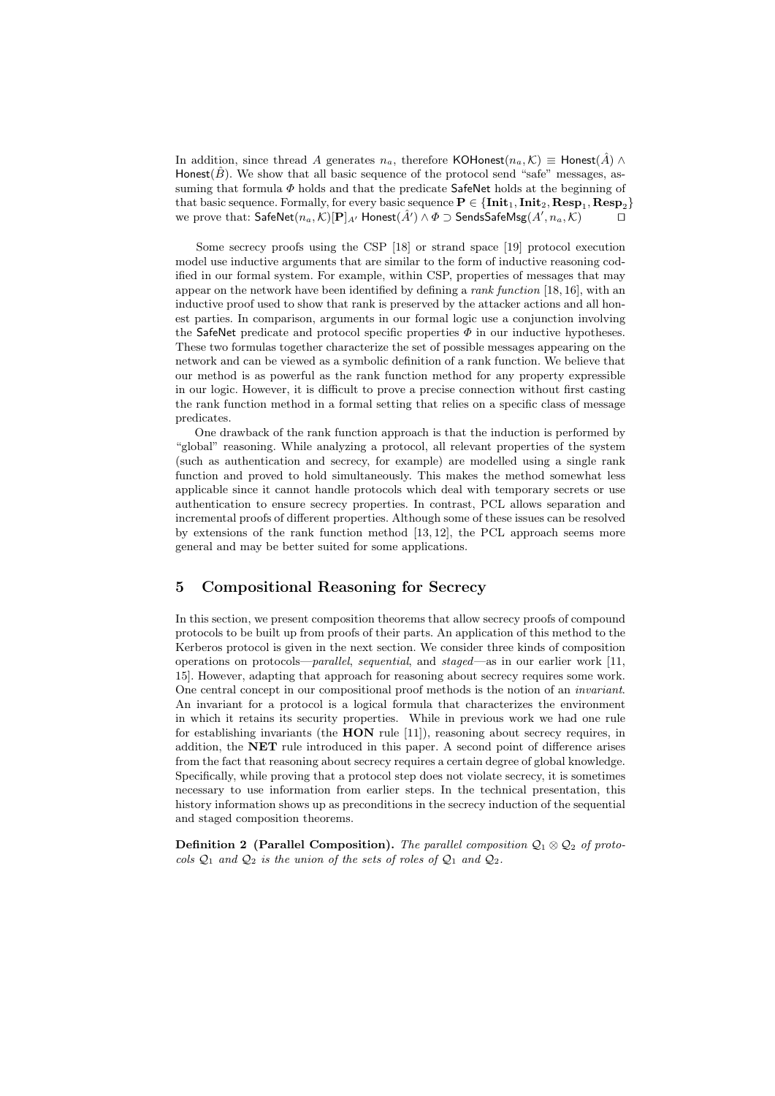In addition, since thread A generates  $n_a$ , therefore KOHonest $(n_a, \mathcal{K}) \equiv$  Honest $(\hat{A}) \wedge$ Honest $(B)$ . We show that all basic sequence of the protocol send "safe" messages, assuming that formula  $\Phi$  holds and that the predicate SafeNet holds at the beginning of that basic sequence. Formally, for every basic sequence  $P \in \{\textbf{Init}_1, \textbf{Init}_2, \textbf{Resp}_1, \textbf{Resp}_2\}$ we prove that:  $\mathsf{SafeNet}(n_a,\mathcal{K})[\mathbf{P}]_{A'}$  Honest $(\hat{A'}) \wedge \varPhi \supset \mathsf{SendsSafeMsg}(A',n_a,\mathcal{K})$ 

Some secrecy proofs using the CSP [18] or strand space [19] protocol execution model use inductive arguments that are similar to the form of inductive reasoning codified in our formal system. For example, within CSP, properties of messages that may appear on the network have been identified by defining a rank function [18, 16], with an inductive proof used to show that rank is preserved by the attacker actions and all honest parties. In comparison, arguments in our formal logic use a conjunction involving the SafeNet predicate and protocol specific properties  $\Phi$  in our inductive hypotheses. These two formulas together characterize the set of possible messages appearing on the network and can be viewed as a symbolic definition of a rank function. We believe that our method is as powerful as the rank function method for any property expressible in our logic. However, it is difficult to prove a precise connection without first casting the rank function method in a formal setting that relies on a specific class of message predicates.

One drawback of the rank function approach is that the induction is performed by "global" reasoning. While analyzing a protocol, all relevant properties of the system (such as authentication and secrecy, for example) are modelled using a single rank function and proved to hold simultaneously. This makes the method somewhat less applicable since it cannot handle protocols which deal with temporary secrets or use authentication to ensure secrecy properties. In contrast, PCL allows separation and incremental proofs of different properties. Although some of these issues can be resolved by extensions of the rank function method [13, 12], the PCL approach seems more general and may be better suited for some applications.

## 5 Compositional Reasoning for Secrecy

In this section, we present composition theorems that allow secrecy proofs of compound protocols to be built up from proofs of their parts. An application of this method to the Kerberos protocol is given in the next section. We consider three kinds of composition operations on protocols—parallel, sequential, and staged—as in our earlier work [11, 15]. However, adapting that approach for reasoning about secrecy requires some work. One central concept in our compositional proof methods is the notion of an invariant. An invariant for a protocol is a logical formula that characterizes the environment in which it retains its security properties. While in previous work we had one rule for establishing invariants (the HON rule [11]), reasoning about secrecy requires, in addition, the NET rule introduced in this paper. A second point of difference arises from the fact that reasoning about secrecy requires a certain degree of global knowledge. Specifically, while proving that a protocol step does not violate secrecy, it is sometimes necessary to use information from earlier steps. In the technical presentation, this history information shows up as preconditions in the secrecy induction of the sequential and staged composition theorems.

**Definition 2** (Parallel Composition). The parallel composition  $Q_1 \otimes Q_2$  of protocols  $\mathcal{Q}_1$  and  $\mathcal{Q}_2$  is the union of the sets of roles of  $\mathcal{Q}_1$  and  $\mathcal{Q}_2$ .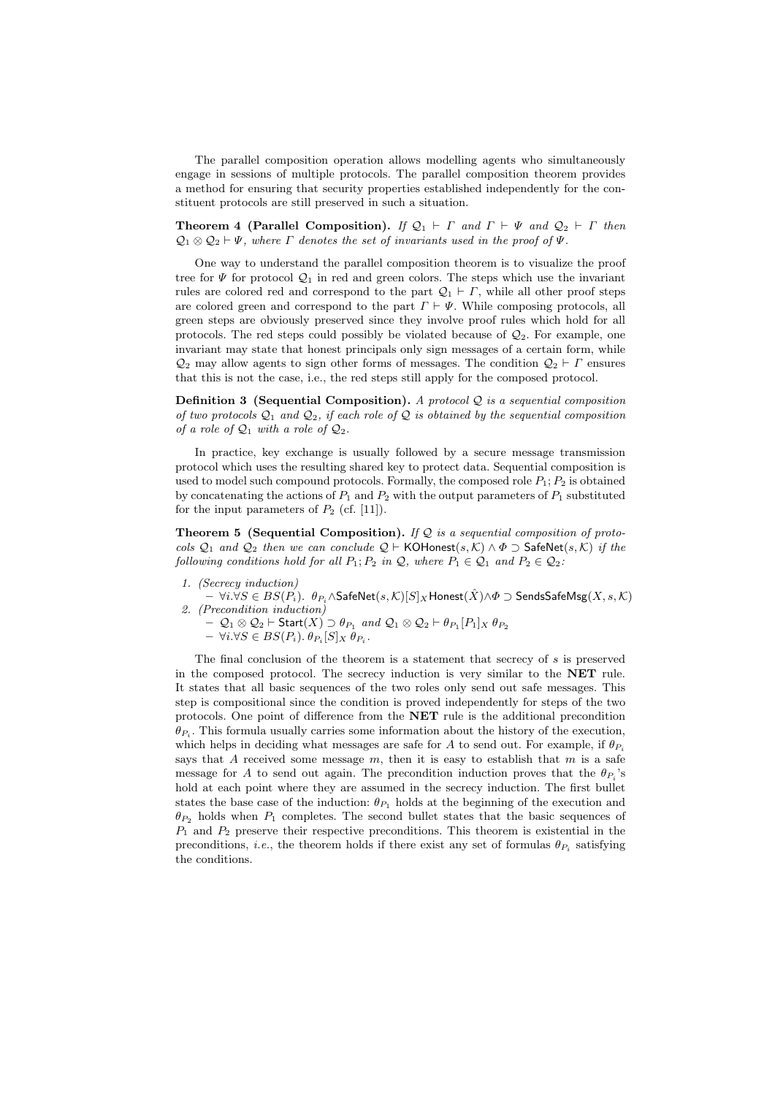The parallel composition operation allows modelling agents who simultaneously engage in sessions of multiple protocols. The parallel composition theorem provides a method for ensuring that security properties established independently for the constituent protocols are still preserved in such a situation.

**Theorem 4 (Parallel Composition).** If  $\mathcal{Q}_1 \vdash \Gamma$  and  $\Gamma \vdash \Psi$  and  $\mathcal{Q}_2 \vdash \Gamma$  then  $\mathcal{Q}_1 \otimes \mathcal{Q}_2 \vdash \Psi$ , where  $\Gamma$  denotes the set of invariants used in the proof of  $\Psi$ .

One way to understand the parallel composition theorem is to visualize the proof tree for  $\Psi$  for protocol  $\mathcal{Q}_1$  in red and green colors. The steps which use the invariant rules are colored red and correspond to the part  $Q_1 \vdash \Gamma$ , while all other proof steps are colored green and correspond to the part  $\Gamma \vdash \Psi$ . While composing protocols, all green steps are obviously preserved since they involve proof rules which hold for all protocols. The red steps could possibly be violated because of  $\mathcal{Q}_2$ . For example, one invariant may state that honest principals only sign messages of a certain form, while  $\mathcal{Q}_2$  may allow agents to sign other forms of messages. The condition  $\mathcal{Q}_2 \vdash \Gamma$  ensures that this is not the case, i.e., the red steps still apply for the composed protocol.

**Definition 3 (Sequential Composition).** A protocol  $Q$  is a sequential composition of two protocols  $\mathcal{Q}_1$  and  $\mathcal{Q}_2$ , if each role of  $\mathcal Q$  is obtained by the sequential composition of a role of  $\mathcal{Q}_1$  with a role of  $\mathcal{Q}_2$ .

In practice, key exchange is usually followed by a secure message transmission protocol which uses the resulting shared key to protect data. Sequential composition is used to model such compound protocols. Formally, the composed role  $P_1$ ;  $P_2$  is obtained by concatenating the actions of  $P_1$  and  $P_2$  with the output parameters of  $P_1$  substituted for the input parameters of  $P_2$  (cf. [11]).

**Theorem 5 (Sequential Composition).** If  $Q$  is a sequential composition of protocols  $\mathcal{Q}_1$  and  $\mathcal{Q}_2$  then we can conclude  $\mathcal{Q} \vdash \textsf{KOHonest}(s, \mathcal{K}) \land \Phi \supset \textsf{SafeNet}(s, \mathcal{K})$  if the following conditions hold for all  $P_1$ ;  $P_2$  in  $\mathcal{Q}$ , where  $P_1 \in \mathcal{Q}_1$  and  $P_2 \in \mathcal{Q}_2$ :

- 1. (Secrecy induction)
- $-$  ∀ $i.\breve{\forall}S\in BS(P_i).$   $\theta_{P_i}$ ∧SafeNet $(s,\mathcal{K})[S]_X$ Honest $(\hat{X})$ ∧ $\Phi$  ⊃ SendsSafeMsg $(X,s,\mathcal{K})$ 2. (Precondition induction)
	- $\mathcal{Q}_1 \otimes \mathcal{Q}_2 \vdash \mathsf{Start}(X) \supset \theta_{P_1}$  and  $\mathcal{Q}_1 \otimes \mathcal{Q}_2 \vdash \theta_{P_1}[P_1]_X$   $\theta_{P_2}$  $- \forall i.\forall S \in BS(P_i). \theta_{P_i}[S] \times \theta_{P_i}.$

The final conclusion of the theorem is a statement that secrecy of s is preserved in the composed protocol. The secrecy induction is very similar to the NET rule. It states that all basic sequences of the two roles only send out safe messages. This step is compositional since the condition is proved independently for steps of the two protocols. One point of difference from the NET rule is the additional precondition  $\theta_{P_i}$ . This formula usually carries some information about the history of the execution, which helps in deciding what messages are safe for A to send out. For example, if  $\theta_{P_i}$ says that A received some message  $m$ , then it is easy to establish that  $m$  is a safe message for A to send out again. The precondition induction proves that the  $\theta_{P_i}$ 's hold at each point where they are assumed in the secrecy induction. The first bullet states the base case of the induction:  $\theta_{P_1}$  holds at the beginning of the execution and  $\theta_{P_2}$  holds when  $P_1$  completes. The second bullet states that the basic sequences of  $P_1$  and  $P_2$  preserve their respective preconditions. This theorem is existential in the preconditions, *i.e.*, the theorem holds if there exist any set of formulas  $\theta_{P_i}$  satisfying the conditions.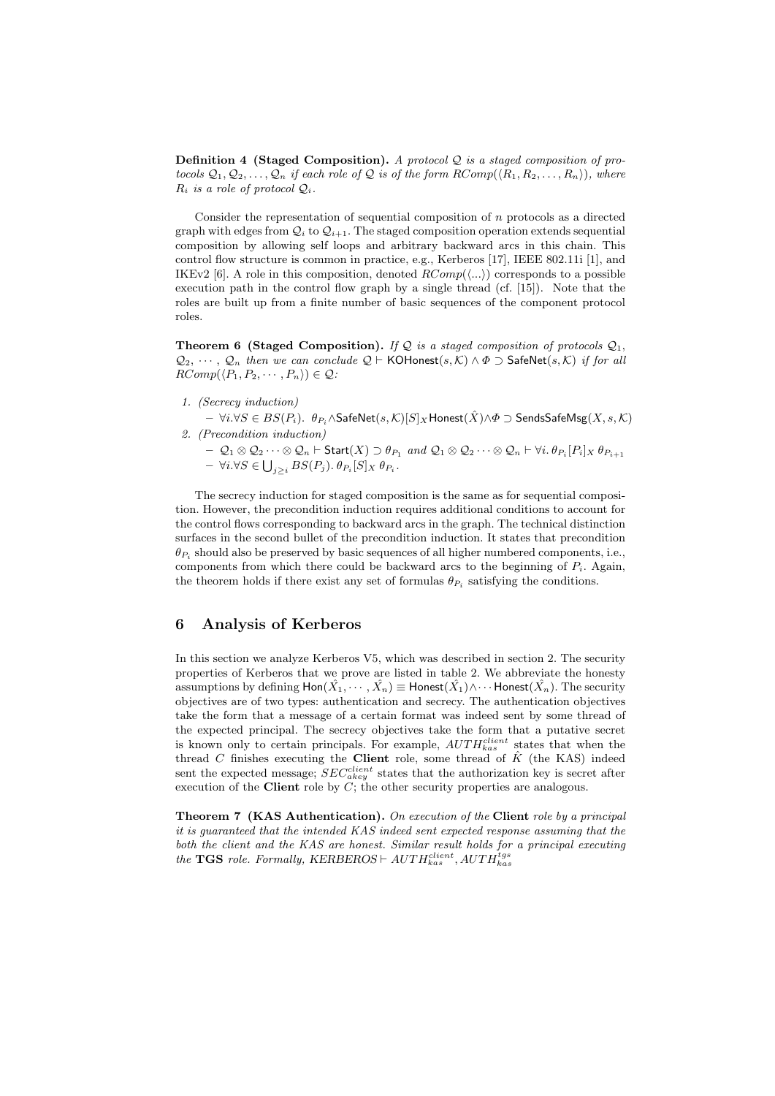**Definition 4 (Staged Composition).** A protocol Q is a staged composition of protocols  $\mathcal{Q}_1, \mathcal{Q}_2, \ldots, \mathcal{Q}_n$  if each role of  $\mathcal Q$  is of the form  $RComp(\langle R_1, R_2, \ldots, R_n \rangle)$ , where  $R_i$  is a role of protocol  $\mathcal{Q}_i$ .

Consider the representation of sequential composition of  $n$  protocols as a directed graph with edges from  $Q_i$  to  $Q_{i+1}$ . The staged composition operation extends sequential composition by allowing self loops and arbitrary backward arcs in this chain. This control flow structure is common in practice, e.g., Kerberos [17], IEEE 802.11i [1], and IKEv2 [6]. A role in this composition, denoted  $RComp(\langle ... \rangle)$  corresponds to a possible execution path in the control flow graph by a single thread (cf. [15]). Note that the roles are built up from a finite number of basic sequences of the component protocol roles.

**Theorem 6 (Staged Composition).** If Q is a staged composition of protocols  $Q_1$ ,  $\mathcal{Q}_2, \cdots, \mathcal{Q}_n$  then we can conclude  $\mathcal{Q} \vdash \mathsf{KOHonest}(s, \mathcal{K}) \land \Phi \supset \mathsf{SafeNet}(s, \mathcal{K})$  if for all  $RComp(\langle P_1, P_2, \cdots, P_n \rangle) \in \mathcal{Q}$ :

- 1. (Secrecy induction)  $-$  ∀ $i.\forall S \in BS(P_i)$ .  $\theta_{P_i}$ ∧SafeNet $(s,\mathcal{K})[S]_X$ Honest $(\hat{X}) \wedge \Phi$  ⊃ SendsSafeMsg $(X,s,\mathcal{K})$ 2. (Precondition induction)
	- $\ \mathcal{Q}_1 \otimes \mathcal{Q}_2 \cdots \otimes \mathcal{Q}_n \vdash \mathsf{Start}(X) \supset \theta_{P_1} \ \textit{and} \ \mathcal{Q}_1 \otimes \mathcal{Q}_2 \cdots \otimes \mathcal{Q}_n \vdash \forall i. \ \theta_{P_i} [P_i]_X \ \theta_{P_{i+1}}$  $- \forall i. \forall S \in \bigcup_{j \geq i} BS(P_j)$ .  $\theta_{P_i}[S]_X \theta_{P_i}$ .

The secrecy induction for staged composition is the same as for sequential composition. However, the precondition induction requires additional conditions to account for the control flows corresponding to backward arcs in the graph. The technical distinction surfaces in the second bullet of the precondition induction. It states that precondition  $\theta_{P_i}$  should also be preserved by basic sequences of all higher numbered components, i.e., components from which there could be backward arcs to the beginning of  $P_i$ . Again, the theorem holds if there exist any set of formulas  $\theta_{P_i}$  satisfying the conditions.

#### 6 Analysis of Kerberos

In this section we analyze Kerberos V5, which was described in section 2. The security properties of Kerberos that we prove are listed in table 2. We abbreviate the honesty assumptions by defining  $\text{Hom}(\hat{X}_1, \dots, \hat{X}_n) \equiv \text{Honest}(\hat{X}_1) \wedge \dots \text{Honest}(\hat{X}_n)$ . The security objectives are of two types: authentication and secrecy. The authentication objectives take the form that a message of a certain format was indeed sent by some thread of the expected principal. The secrecy objectives take the form that a putative secret is known only to certain principals. For example,  $AUTH_{kas}^{client}$  states that when the thread C finishes executing the Client role, some thread of  $\tilde{K}$  (the KAS) indeed sent the expected message;  $SEC^{client}_{akey}$  states that the authorization key is secret after execution of the Client role by  $C$ ; the other security properties are analogous.

**Theorem 7 (KAS Authentication).** On execution of the Client role by a principal it is guaranteed that the intended KAS indeed sent expected response assuming that the both the client and the KAS are honest. Similar result holds for a principal executing the TGS role. Formally, KERBEROS  $\vdash$  AUT  $H_{kas}^{client}$ , AUT  $H_{kas}^{tgs}$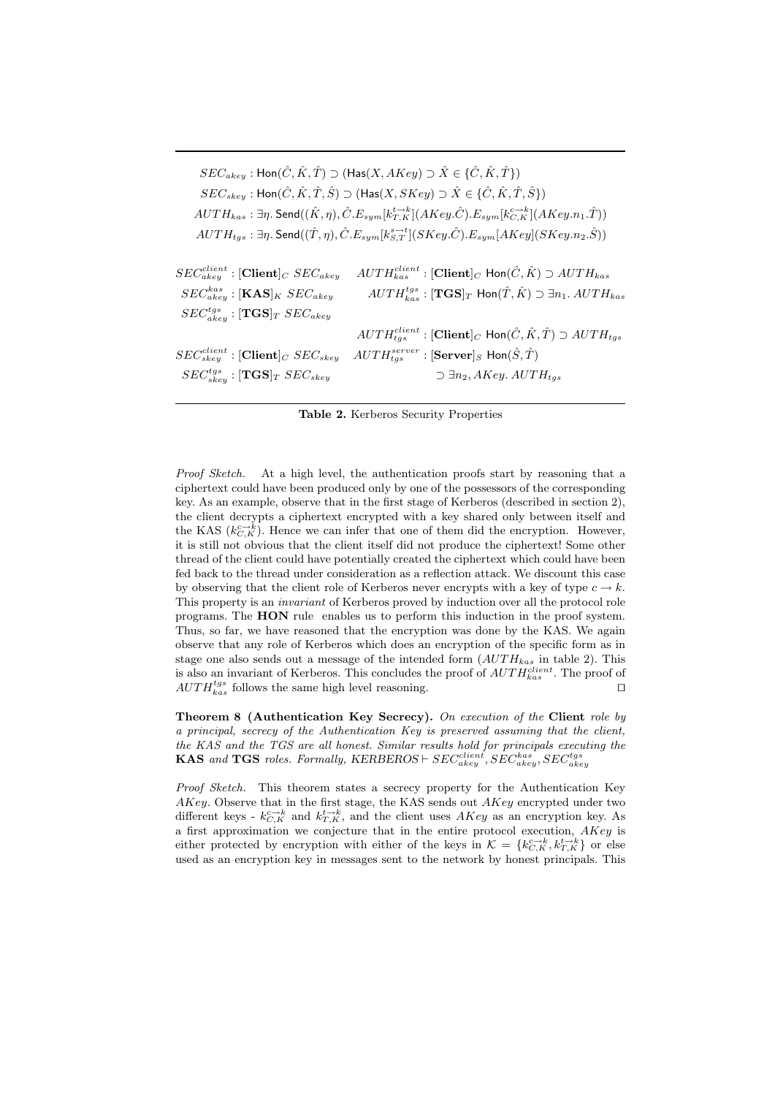|                                                             | $SEC_{akey} : \text{Hom}(\hat{C}, \hat{K}, \hat{T}) \supset (\text{Has}(X, AKey) \supset \hat{X} \in \{\hat{C}, \hat{K}, \hat{T}\})$<br>$SEC_{skey}:$ Hon $(\hat{C}, \hat{K}, \hat{T}, \hat{S}) \supset$ (Has $(X, SKey) \supset \hat{X} \in \{\hat{C}, \hat{K}, \hat{T}, \hat{S}\}\$ ) |
|-------------------------------------------------------------|-----------------------------------------------------------------------------------------------------------------------------------------------------------------------------------------------------------------------------------------------------------------------------------------|
|                                                             | $AUTH_{kas}: \exists \eta.$ Send $((\hat{K}, \eta), \hat{C}.E_{sym}[k_{T.K}^{t \to k}](AKey. \hat{C}).E_{sym}[k_{C.K}^{c \to k}](AKey. n_1.\hat{T}))$                                                                                                                                   |
|                                                             | $AUTH_{tgs}: \exists \eta.$ Send $((\hat{T},\eta), \hat{C}.E_{sym}[k_{S,T}^{s\rightarrow t}](SKey.\hat{C}).E_{sym}[AKey](SKey.n_2.\hat{S}))$                                                                                                                                            |
| $SEC^{client}_{akey} : [\mathbf{Client}]_{C} \: SEC_{akey}$ | $AUTH_{kas}^{client}:[\mathbf{Client}]_C$ Hon $(\hat{C}, \hat{K}) \supset AUTH_{kas}$                                                                                                                                                                                                   |
| $SEC_{akey}^{kas}$ : $[\textbf{KAS}]_K$ $SEC_{akey}$        | $AUTH_{kas}^{tgs}: [\mathbf{TGS}]_T$ Hon $(\hat{T}, \hat{K}) \supset \exists n_1. \, AUTH_{kas}$                                                                                                                                                                                        |
| $SEC^{tgs}_{akeu} : [\mathbf{TGS}]_T \ SEC_{akey}$          |                                                                                                                                                                                                                                                                                         |
|                                                             | $AUTH_{tgs}^{client}:$ [Client] <sub>C</sub> Hon( $\hat{C}, \hat{K}, \hat{T}$ ) $\supset$ $AUTH_{tgs}$                                                                                                                                                                                  |
| $SEC_{skey}^{client}$ : [Client] <sub>C</sub> $SEC_{skey}$  | $AUTH_{tas}^{server}: [\textbf{Server}]_S \; \text{Hom}(\hat{S}, \hat{T})$                                                                                                                                                                                                              |
| $SEC_{skey}^{tgs} : [\mathbf{TGS}]_T$ $SEC_{skey}$          | $\supset \exists n_2, AKey. \,AUTH_{tags}$                                                                                                                                                                                                                                              |

Table 2. Kerberos Security Properties

Proof Sketch. At a high level, the authentication proofs start by reasoning that a ciphertext could have been produced only by one of the possessors of the corresponding key. As an example, observe that in the first stage of Kerberos (described in section 2), the client decrypts a ciphertext encrypted with a key shared only between itself and the KAS  $(k_{C,K}^{c\to k})$ . Hence we can infer that one of them did the encryption. However, it is still not obvious that the client itself did not produce the ciphertext! Some other thread of the client could have potentially created the ciphertext which could have been fed back to the thread under consideration as a reflection attack. We discount this case by observing that the client role of Kerberos never encrypts with a key of type  $c \rightarrow k$ . This property is an invariant of Kerberos proved by induction over all the protocol role programs. The HON rule enables us to perform this induction in the proof system. Thus, so far, we have reasoned that the encryption was done by the KAS. We again observe that any role of Kerberos which does an encryption of the specific form as in stage one also sends out a message of the intended form  $(AUTH_{kas}$  in table 2). This is also an invariant of Kerberos. This concludes the proof of  $AUTH_{kas}^{client}$ . The proof of  $AUTH_{kas}^{tgs}$  follows the same high level reasoning.

Theorem 8 (Authentication Key Secrecy). On execution of the Client role by a principal, secrecy of the Authentication Key is preserved assuming that the client, the KAS and the TGS are all honest. Similar results hold for principals executing the **KAS** and **TGS** roles. Formally, KERBEROS  $\vdash$  SEC<sup>client</sup>, SEC<sup>has</sup>, SEC<sup>tgs</sup>

Proof Sketch. This theorem states a secrecy property for the Authentication Key  $AKey.$  Observe that in the first stage, the KAS sends out  $AKey$  encrypted under two different keys -  $k_{C,K}^{c\to k}$  and  $k_{T,K}^{t\to k}$ , and the client uses  $AKey$  as an encryption key. As a first approximation we conjecture that in the entire protocol execution,  $AKey$  is either protected by encryption with either of the keys in  $\mathcal{K} = \{k_{C,K}^{c \to k}, k_{T,K}^{t \to k}\}$  or else used as an encryption key in messages sent to the network by honest principals. This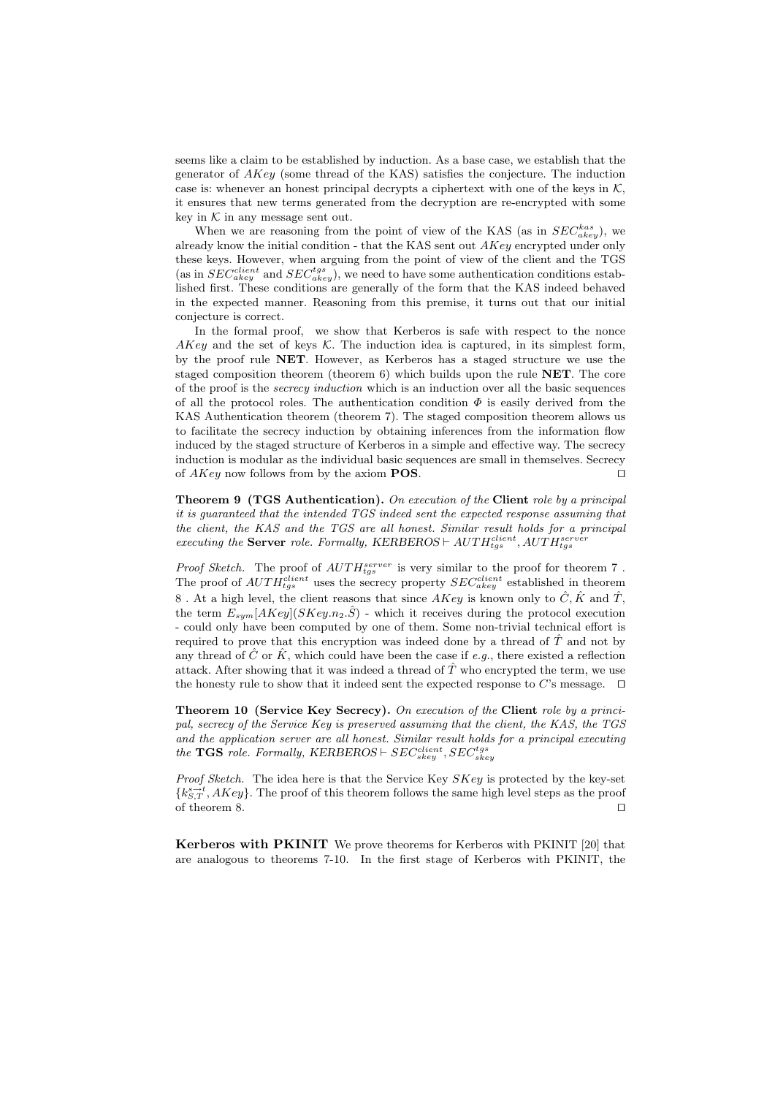seems like a claim to be established by induction. As a base case, we establish that the generator of  $AKey$  (some thread of the KAS) satisfies the conjecture. The induction case is: whenever an honest principal decrypts a ciphertext with one of the keys in  $K$ , it ensures that new terms generated from the decryption are re-encrypted with some key in  $K$  in any message sent out.

When we are reasoning from the point of view of the KAS (as in  $SEC^{kas}_{akey}$ ), we already know the initial condition - that the KAS sent out  $AKey$  encrypted under only these keys. However, when arguing from the point of view of the client and the TGS (as in  $SEC^{client}_{akey}$  and  $SEC^{tgs}_{akey})$ , we need to have some authentication conditions established first. These conditions are generally of the form that the KAS indeed behaved in the expected manner. Reasoning from this premise, it turns out that our initial conjecture is correct.

In the formal proof, we show that Kerberos is safe with respect to the nonce AKey and the set of keys  $K$ . The induction idea is captured, in its simplest form, by the proof rule NET. However, as Kerberos has a staged structure we use the staged composition theorem (theorem 6) which builds upon the rule NET. The core of the proof is the secrecy induction which is an induction over all the basic sequences of all the protocol roles. The authentication condition  $\Phi$  is easily derived from the KAS Authentication theorem (theorem 7). The staged composition theorem allows us to facilitate the secrecy induction by obtaining inferences from the information flow induced by the staged structure of Kerberos in a simple and effective way. The secrecy induction is modular as the individual basic sequences are small in themselves. Secrecy of  $AKey$  now follows from by the axiom **POS**.

Theorem 9 (TGS Authentication). On execution of the Client role by a principal it is guaranteed that the intended TGS indeed sent the expected response assuming that the client, the KAS and the TGS are all honest. Similar result holds for a principal executing the Server role. Formally, KERBEROS  $\vdash$  AUT  $H_{tgs}^{client}$ , AUT  $H_{tgs}^{server}$ 

*Proof Sketch.* The proof of  $AUTH_{tgs}^{server}$  is very similar to the proof for theorem 7. The proof of  $AUTH_{tgs}^{client}$  uses the secrecy property  $SEC_{akey}^{client}$  established in theorem 8. At a high level, the client reasons that since  $AKey$  is known only to  $\hat{C}, \hat{K}$  and  $\hat{T}$ , the term  $E_{sum}[AKey](SKey. n_2.\tilde{S})$  - which it receives during the protocol execution - could only have been computed by one of them. Some non-trivial technical effort is required to prove that this encryption was indeed done by a thread of  $\ddot{T}$  and not by any thread of  $\hat{C}$  or  $\hat{K}$ , which could have been the case if e.g., there existed a reflection attack. After showing that it was indeed a thread of  $\hat{T}$  who encrypted the term, we use the honesty rule to show that it indeed sent the expected response to  $C$ 's message.  $\Box$ 

**Theorem 10 (Service Key Secrecy).** On execution of the Client role by a principal, secrecy of the Service Key is preserved assuming that the client, the KAS, the TGS and the application server are all honest. Similar result holds for a principal executing the TGS role. Formally, KERBEROS  $\vdash \textit{SEC}_{skey}^{client}, \textit{SEC}_{skey}^{tgs}$ 

*Proof Sketch.* The idea here is that the Service Key  $SKey$  is protected by the key-set  ${k_{S,T}^{s\to t}}$ ,  $AKey$ . The proof of this theorem follows the same high level steps as the proof of theorem 8.  $\Box$ 

Kerberos with PKINIT We prove theorems for Kerberos with PKINIT [20] that are analogous to theorems 7-10. In the first stage of Kerberos with PKINIT, the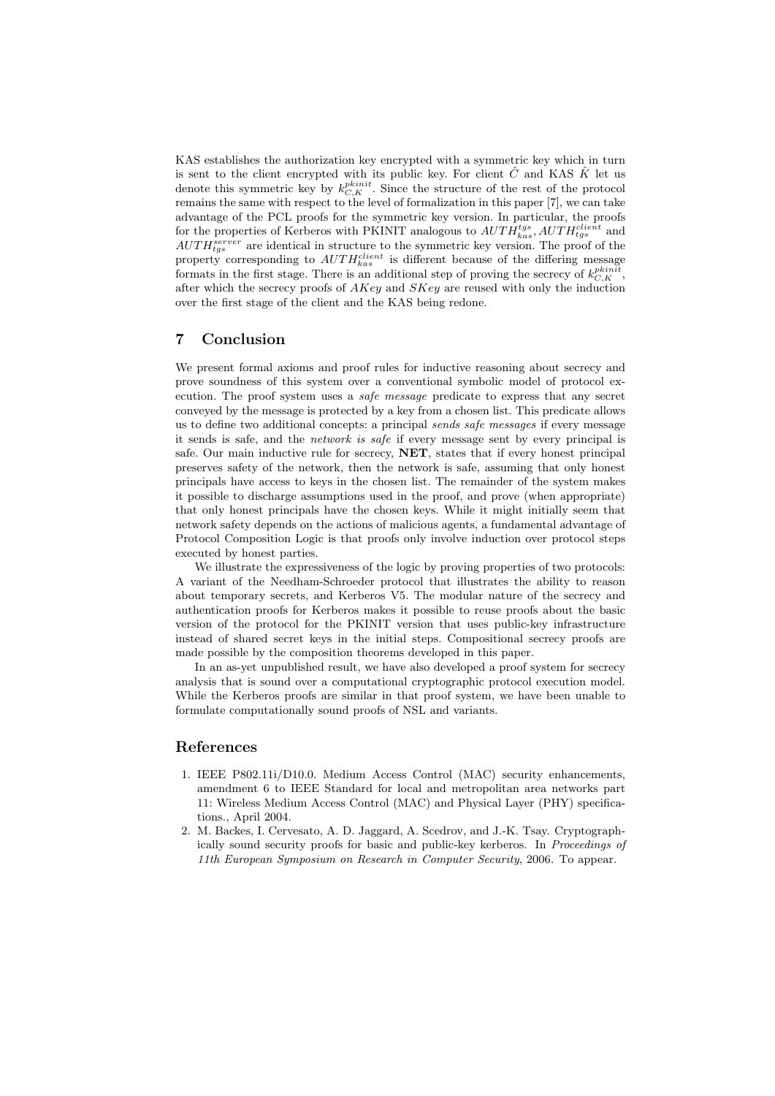KAS establishes the authorization key encrypted with a symmetric key which in turn is sent to the client encrypted with its public key. For client  $C$  and KAS  $K$  let us denote this symmetric key by  $k_{C,K}^{phinit}$ . Since the structure of the rest of the protocol remains the same with respect to the level of formalization in this paper [7], we can take advantage of the PCL proofs for the symmetric key version. In particular, the proofs for the properties of Kerberos with PKINIT analogous to  $AUTH_{kas}^{tgs}, AUTH_{tgs}^{client}$  and  $AUTH_{tgs}^{server}$  are identical in structure to the symmetric key version. The proof of the property corresponding to  $AUTH_{kas}^{client}$  is different because of the differing message formats in the first stage. There is an additional step of proving the secrecy of  $k_{C,K}^{phinit}$ , after which the secrecy proofs of  $AKey$  and  $SKey$  are reused with only the induction over the first stage of the client and the KAS being redone.

### 7 Conclusion

We present formal axioms and proof rules for inductive reasoning about secrecy and prove soundness of this system over a conventional symbolic model of protocol execution. The proof system uses a safe message predicate to express that any secret conveyed by the message is protected by a key from a chosen list. This predicate allows us to define two additional concepts: a principal sends safe messages if every message it sends is safe, and the network is safe if every message sent by every principal is safe. Our main inductive rule for secrecy, NET, states that if every honest principal preserves safety of the network, then the network is safe, assuming that only honest principals have access to keys in the chosen list. The remainder of the system makes it possible to discharge assumptions used in the proof, and prove (when appropriate) that only honest principals have the chosen keys. While it might initially seem that network safety depends on the actions of malicious agents, a fundamental advantage of Protocol Composition Logic is that proofs only involve induction over protocol steps executed by honest parties.

We illustrate the expressiveness of the logic by proving properties of two protocols: A variant of the Needham-Schroeder protocol that illustrates the ability to reason about temporary secrets, and Kerberos V5. The modular nature of the secrecy and authentication proofs for Kerberos makes it possible to reuse proofs about the basic version of the protocol for the PKINIT version that uses public-key infrastructure instead of shared secret keys in the initial steps. Compositional secrecy proofs are made possible by the composition theorems developed in this paper.

In an as-yet unpublished result, we have also developed a proof system for secrecy analysis that is sound over a computational cryptographic protocol execution model. While the Kerberos proofs are similar in that proof system, we have been unable to formulate computationally sound proofs of NSL and variants.

#### References

- 1. IEEE P802.11i/D10.0. Medium Access Control (MAC) security enhancements, amendment 6 to IEEE Standard for local and metropolitan area networks part 11: Wireless Medium Access Control (MAC) and Physical Layer (PHY) specifications., April 2004.
- 2. M. Backes, I. Cervesato, A. D. Jaggard, A. Scedrov, and J.-K. Tsay. Cryptographically sound security proofs for basic and public-key kerberos. In Proceedings of 11th European Symposium on Research in Computer Security, 2006. To appear.